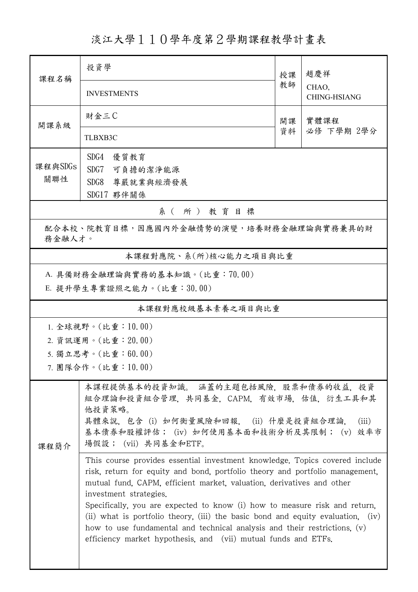淡江大學110學年度第2學期課程教學計畫表

| 課程名稱                                              | 投資學                                                                                                                                                                                                                                                                                                                                                                                                                                                                                                                                                                              | 授課 | 趙慶祥<br>CHAO,<br><b>CHING-HSIANG</b> |  |  |  |  |  |
|---------------------------------------------------|----------------------------------------------------------------------------------------------------------------------------------------------------------------------------------------------------------------------------------------------------------------------------------------------------------------------------------------------------------------------------------------------------------------------------------------------------------------------------------------------------------------------------------------------------------------------------------|----|-------------------------------------|--|--|--|--|--|
|                                                   | <b>INVESTMENTS</b>                                                                                                                                                                                                                                                                                                                                                                                                                                                                                                                                                               | 教師 |                                     |  |  |  |  |  |
| 開課系級                                              | 財金三C                                                                                                                                                                                                                                                                                                                                                                                                                                                                                                                                                                             | 開課 | 實體課程                                |  |  |  |  |  |
|                                                   | <b>TLBXB3C</b>                                                                                                                                                                                                                                                                                                                                                                                                                                                                                                                                                                   | 資料 | 必修 下學期 2學分                          |  |  |  |  |  |
|                                                   | SDG4<br>優質教育                                                                                                                                                                                                                                                                                                                                                                                                                                                                                                                                                                     |    |                                     |  |  |  |  |  |
| 課程與SDGs<br>關聯性                                    | SDG7<br>可負擔的潔淨能源                                                                                                                                                                                                                                                                                                                                                                                                                                                                                                                                                                 |    |                                     |  |  |  |  |  |
|                                                   | SDG8<br>尊嚴就業與經濟發展                                                                                                                                                                                                                                                                                                                                                                                                                                                                                                                                                                |    |                                     |  |  |  |  |  |
| SDG17 夥伴關係<br>系(所)教育目標                            |                                                                                                                                                                                                                                                                                                                                                                                                                                                                                                                                                                                  |    |                                     |  |  |  |  |  |
| 配合本校、院教育目標,因應國內外金融情勢的演變,培養財務金融理論與實務兼具的財<br>務金融人才。 |                                                                                                                                                                                                                                                                                                                                                                                                                                                                                                                                                                                  |    |                                     |  |  |  |  |  |
|                                                   | 本課程對應院、系(所)核心能力之項目與比重                                                                                                                                                                                                                                                                                                                                                                                                                                                                                                                                                            |    |                                     |  |  |  |  |  |
|                                                   | A. 具備財務金融理論與實務的基本知識。(比重:70.00)                                                                                                                                                                                                                                                                                                                                                                                                                                                                                                                                                   |    |                                     |  |  |  |  |  |
|                                                   | E. 提升學生專業證照之能力。(比重:30.00)                                                                                                                                                                                                                                                                                                                                                                                                                                                                                                                                                        |    |                                     |  |  |  |  |  |
|                                                   | 本課程對應校級基本素養之項目與比重                                                                                                                                                                                                                                                                                                                                                                                                                                                                                                                                                                |    |                                     |  |  |  |  |  |
|                                                   | 1. 全球視野。(比重:10.00)                                                                                                                                                                                                                                                                                                                                                                                                                                                                                                                                                               |    |                                     |  |  |  |  |  |
|                                                   | 2. 資訊運用。(比重: 20.00)                                                                                                                                                                                                                                                                                                                                                                                                                                                                                                                                                              |    |                                     |  |  |  |  |  |
| 5. 獨立思考。(比重:60.00)                                |                                                                                                                                                                                                                                                                                                                                                                                                                                                                                                                                                                                  |    |                                     |  |  |  |  |  |
|                                                   | 7. 團隊合作。(比重:10.00)                                                                                                                                                                                                                                                                                                                                                                                                                                                                                                                                                               |    |                                     |  |  |  |  |  |
| 課程簡介                                              | 本課程提供基本的投資知識。 涵蓋的主題包括風險,股票和債券的收益,投資<br>組合理論和投資組合管理, 共同基金, CAPM, 有效市場, 估值, 衍生工具和其<br>他投資策略。<br>具體來說, 包含 (i) 如何衡量風險和回報, (ii) 什麼是投資組合理論.<br>(iii)<br>基本債券和股權評估; (iv) 如何使用基本面和技術分析及其限制; (v) 效率市<br>場假設;(vii)共同基金和ETF。                                                                                                                                                                                                                                                                                                                                                                |    |                                     |  |  |  |  |  |
|                                                   | This course provides essential investment knowledge. Topics covered include<br>risk, return for equity and bond, portfolio theory and portfolio management,<br>mutual fund, CAPM, efficient market, valuation, derivatives and other<br>investment strategies.<br>Specifically, you are expected to know (i) how to measure risk and return,<br>(ii) what is portfolio theory, (iii) the basic bond and equity evaluation, (iv)<br>how to use fundamental and technical analysis and their restrictions, $(v)$<br>efficiency market hypothesis, and (vii) mutual funds and ETFs. |    |                                     |  |  |  |  |  |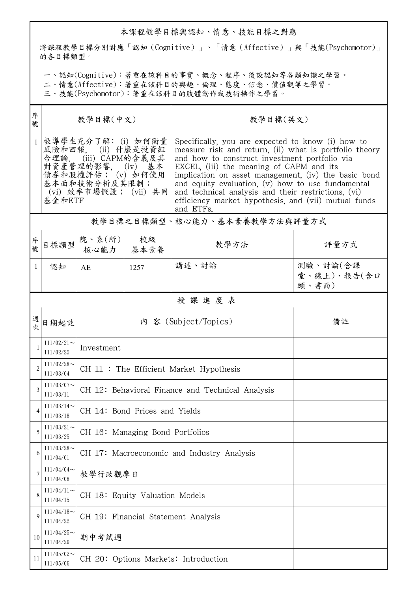## 本課程教學目標與認知、情意、技能目標之對應

將課程教學目標分別對應「認知(Cognitive)」、「情意(Affective)」與「技能(Psychomotor)」 的各目標類型。

一、認知(Cognitive):著重在該科目的事實、概念、程序、後設認知等各類知識之學習。

二、情意(Affective):著重在該科目的興趣、倫理、態度、信念、價值觀等之學習。

三、技能(Psychomotor):著重在該科目的肢體動作或技術操作之學習。

| 序<br>號         | 教學目標(中文)                                                                                                                                                                   |                                                  |      | 教學目標(英文)                                                                                                                                                                                                                                                                                                                                                                                                                                            |                                  |  |  |  |  |
|----------------|----------------------------------------------------------------------------------------------------------------------------------------------------------------------------|--------------------------------------------------|------|-----------------------------------------------------------------------------------------------------------------------------------------------------------------------------------------------------------------------------------------------------------------------------------------------------------------------------------------------------------------------------------------------------------------------------------------------------|----------------------------------|--|--|--|--|
| $\mathbf{1}$   | 教導學生充分了解: (i) 如何衡量<br>(ii) 什麼是投資組<br>風險和回報.<br>(iii) CAPM的含義及其<br>合理論.<br>對資產管理的影響,<br>(iv)<br>基本<br>债券和股權評估; (v) 如何使用<br>基本面和技術分析及其限制;<br>(vi) 效率市場假設; (vii) 共同<br>基金和ETF |                                                  |      | Specifically, you are expected to know (i) how to<br>measure risk and return, (ii) what is portfolio theory<br>and how to construct investment portfolio via<br>EXCEL, (iii) the meaning of CAPM and its<br>implication on asset management, (iv) the basic bond<br>and equity evaluation, $(v)$ how to use fundamental<br>and technical analysis and their restrictions, (vi)<br>efficiency market hypothesis, and (vii) mutual funds<br>and ETFs. |                                  |  |  |  |  |
|                | 教學目標之目標類型、核心能力、基本素養教學方法與評量方式                                                                                                                                               |                                                  |      |                                                                                                                                                                                                                                                                                                                                                                                                                                                     |                                  |  |  |  |  |
| 序號             | 目標類型                                                                                                                                                                       | 院、系 $(\hbox{\it f\hskip -2pt M})$<br>核心能力   基本素養 | 校級   | 教學方法                                                                                                                                                                                                                                                                                                                                                                                                                                                | 評量方式                             |  |  |  |  |
| $\mathbf{1}$   | 認知                                                                                                                                                                         | AE                                               | 1257 | 講述、討論                                                                                                                                                                                                                                                                                                                                                                                                                                               | 測驗、討論(含課<br>堂、線上)、報告(含口<br>頭、書面) |  |  |  |  |
|                | 授課進度表                                                                                                                                                                      |                                                  |      |                                                                                                                                                                                                                                                                                                                                                                                                                                                     |                                  |  |  |  |  |
| 週<br>欤         | 日期起訖                                                                                                                                                                       | 內 容 (Subject/Topics)                             |      |                                                                                                                                                                                                                                                                                                                                                                                                                                                     | 備註                               |  |  |  |  |
|                | $111/02/21$ ~<br>111/02/25                                                                                                                                                 | Investment                                       |      |                                                                                                                                                                                                                                                                                                                                                                                                                                                     |                                  |  |  |  |  |
| $\overline{2}$ | $111/02/28$ ~<br>111/03/04                                                                                                                                                 | CH 11 : The Efficient Market Hypothesis          |      |                                                                                                                                                                                                                                                                                                                                                                                                                                                     |                                  |  |  |  |  |
| 3              | $111/03/07$ ~<br>111/03/11                                                                                                                                                 | CH 12: Behavioral Finance and Technical Analysis |      |                                                                                                                                                                                                                                                                                                                                                                                                                                                     |                                  |  |  |  |  |
| 4              | $111/03/14$ ~<br>111/03/18                                                                                                                                                 | CH 14: Bond Prices and Yields                    |      |                                                                                                                                                                                                                                                                                                                                                                                                                                                     |                                  |  |  |  |  |
| 5              | $111/03/21$ ~<br>111/03/25                                                                                                                                                 | CH 16: Managing Bond Portfolios                  |      |                                                                                                                                                                                                                                                                                                                                                                                                                                                     |                                  |  |  |  |  |
| 6              | $111/03/28$ ~<br>111/04/01                                                                                                                                                 | CH 17: Macroeconomic and Industry Analysis       |      |                                                                                                                                                                                                                                                                                                                                                                                                                                                     |                                  |  |  |  |  |
|                | $111/04/04$ ~<br>111/04/08                                                                                                                                                 | 教學行政觀摩日                                          |      |                                                                                                                                                                                                                                                                                                                                                                                                                                                     |                                  |  |  |  |  |
| 8              | $111/04/11$ ~<br>111/04/15                                                                                                                                                 | CH 18: Equity Valuation Models                   |      |                                                                                                                                                                                                                                                                                                                                                                                                                                                     |                                  |  |  |  |  |
| 9              | $111/04/18$ ~<br>111/04/22                                                                                                                                                 | CH 19: Financial Statement Analysis              |      |                                                                                                                                                                                                                                                                                                                                                                                                                                                     |                                  |  |  |  |  |
| 10             | $111/04/25$ ~<br>111/04/29                                                                                                                                                 | 期中考試週                                            |      |                                                                                                                                                                                                                                                                                                                                                                                                                                                     |                                  |  |  |  |  |
| 11             | $111/05/02$ ~<br>111/05/06                                                                                                                                                 |                                                  |      | CH 20: Options Markets: Introduction                                                                                                                                                                                                                                                                                                                                                                                                                |                                  |  |  |  |  |